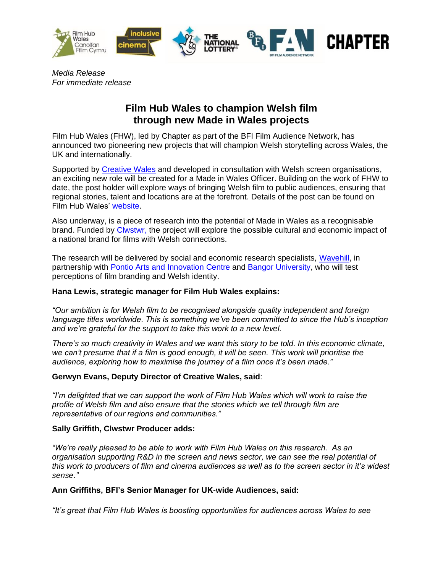

*Media Release For immediate release*

# **Film Hub Wales to champion Welsh film through new Made in Wales projects**

Film Hub Wales (FHW), led by Chapter as part of the BFI Film Audience Network, has announced two pioneering new projects that will champion Welsh storytelling across Wales, the UK and internationally.

Supported by [Creative Wales](https://www.wales.com/creative-wales) and developed in consultation with Welsh screen organisations, an exciting new role will be created for a Made in Wales Officer. Building on the work of FHW to date, the post holder will explore ways of bringing Welsh film to public audiences, ensuring that regional stories, talent and locations are at the forefront. Details of the post can be found on Film Hub Wales' [website.](https://www.filmhubwales.org/en/vacancy-made-in-wales-officer-12-month-fixed-term-contract-2020/)

Also underway, is a piece of research into the potential of Made in Wales as a recognisable brand. Funded by [Clwstwr,](https://clwstwr.org.uk/node/10) the project will explore the possible cultural and economic impact of a national brand for films with Welsh connections.

The research will be delivered by social and economic research specialists, [Wavehill,](https://www.wavehill.com/) in partnership with [Pontio Arts and Innovation Centre](https://www.pontio.co.uk/Online/) and [Bangor University,](https://www.bangor.ac.uk/) who will test perceptions of film branding and Welsh identity.

## **Hana Lewis, strategic manager for Film Hub Wales explains:**

*"Our ambition is for Welsh film to be recognised alongside quality independent and foreign language titles worldwide. This is something we've been committed to since the Hub's inception and we're grateful for the support to take this work to a new level.*

*There's so much creativity in Wales and we want this story to be told. In this economic climate, we can't presume that if a film is good enough, it will be seen. This work will prioritise the audience, exploring how to maximise the journey of a film once it's been made."*

## **Gerwyn Evans, Deputy Director of Creative Wales, said**:

*"I'm delighted that we can support the work of Film Hub Wales which will work to raise the profile of Welsh film and also ensure that the stories which we tell through film are representative of our regions and communities."*

#### **Sally Griffith, Clwstwr Producer adds:**

*"We're really pleased to be able to work with Film Hub Wales on this research. As an organisation supporting R&D in the screen and news sector, we can see the real potential of this work to producers of film and cinema audiences as well as to the screen sector in it's widest sense."*

#### **Ann Griffiths, BFI's Senior Manager for UK-wide Audiences, said:**

*"It's great that Film Hub Wales is boosting opportunities for audiences across Wales to see*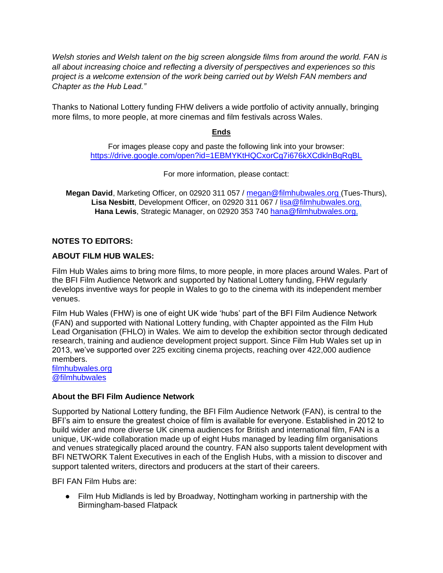*Welsh stories and Welsh talent on the big screen alongside films from around the world. FAN is all about increasing choice and reflecting a diversity of perspectives and experiences so this project is a welcome extension of the work being carried out by Welsh FAN members and Chapter as the Hub Lead."*

Thanks to National Lottery funding FHW delivers a wide portfolio of activity annually, bringing more films, to more people, at more cinemas and film festivals across Wales.

#### **Ends**

For images please copy and paste the following link into your browser: https://drive.google.com/open?id=1EBMYKtHQCxorCg7i676kXCdklnBqRqBL

For more information, please contact:

**Megan David**, Marketing Officer, on 02920 311 057 / [megan@filmhubwales.org](mailto:megan@filmhubwales.org) (Tues-Thurs), **Lisa Nesbitt**, Development Officer, on 02920 311 067 / [lisa@filmhubwales.org](mailto:lisa@filmhubwales.org), **Hana Lewis**, Strategic Manager, on 02920 353 740 [hana@filmhubwales.org](mailto:hana@filmhubwales.org),

## **NOTES TO EDITORS:**

## **ABOUT FILM HUB WALES:**

Film Hub Wales aims to bring more films, to more people, in more places around Wales. Part of the BFI Film Audience Network and supported by National Lottery funding, FHW regularly develops inventive ways for people in Wales to go to the cinema with its independent member venues.

Film Hub Wales (FHW) is one of eight UK wide 'hubs' part of the BFI Film Audience Network (FAN) and supported with National Lottery funding, with Chapter appointed as the Film Hub Lead Organisation (FHLO) in Wales. We aim to develop the exhibition sector through dedicated research, training and audience development project support. Since Film Hub Wales set up in 2013, we've supported over 225 exciting cinema projects, reaching over 422,000 audience members.

[filmhubwales.org](http://www.filmhubwales.org/) @filmhubwales

## **About the BFI Film Audience Network**

Supported by National Lottery funding, the BFI Film Audience Network (FAN), is central to the BFI's aim to ensure the greatest choice of film is available for everyone. Established in 2012 to build wider and more diverse UK cinema audiences for British and international film, FAN is a unique, UK-wide collaboration made up of eight Hubs managed by leading film organisations and venues strategically placed around the country. FAN also supports talent development with BFI NETWORK Talent Executives in each of the English Hubs, with a mission to discover and support talented writers, directors and producers at the start of their careers.

BFI FAN Film Hubs are:

● Film Hub Midlands is led by Broadway, Nottingham working in partnership with the Birmingham-based Flatpack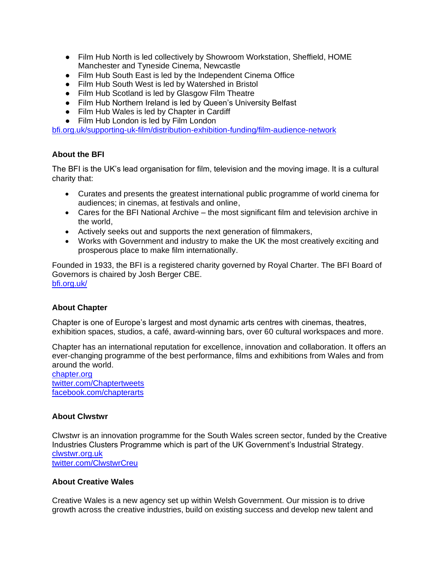- Film Hub North is led collectively by Showroom Workstation, Sheffield, HOME Manchester and Tyneside Cinema, Newcastle
- Film Hub South East is led by the Independent Cinema Office
- Film Hub South West is led by Watershed in Bristol
- Film Hub Scotland is led by Glasgow Film Theatre
- Film Hub Northern Ireland is led by Queen's University Belfast
- Film Hub Wales is led by Chapter in Cardiff
- Film Hub London is led by Film London

[bfi.org.uk/supporting-uk-film/distribution-exhibition-funding/film-audience-network](https://www.bfi.org.uk/supporting-uk-film/distribution-exhibition-funding/film-audience-network)

## **About the BFI**

The BFI is the UK's lead organisation for film, television and the moving image. It is a cultural charity that:

- Curates and presents the greatest international public programme of world cinema for audiences; in cinemas, at festivals and online,
- Cares for the BFI National Archive the most significant film and television archive in the world,
- Actively seeks out and supports the next generation of filmmakers,
- Works with Government and industry to make the UK the most creatively exciting and prosperous place to make film internationally.

Founded in 1933, the BFI is a registered charity governed by Royal Charter. The BFI Board of Governors is chaired by Josh Berger CBE. [bfi.org.uk/](https://www.bfi.org.uk/)

## **About Chapter**

Chapter is one of Europe's largest and most dynamic arts centres with cinemas, theatres, exhibition spaces, studios, a café, award-winning bars, over 60 cultural workspaces and more.

Chapter has an international reputation for excellence, innovation and collaboration. It offers an ever-changing programme of the best performance, films and exhibitions from Wales and from around the world.

[chapter.org](http://www.chapter.org/) [twitter.com/Chaptertweets](http://www.twitter.com/Chaptertweets) [facebook.com/chapterarts](http://www.facebook.com/chapterarts)

## **About Clwstwr**

Clwstwr is an innovation programme for the South Wales screen sector, funded by the Creative Industries Clusters Programme which is part of the UK Government's Industrial Strategy. [clwstwr.org.uk](https://www.clwstwr.org.uk/) [twitter.com/ClwstwrCreu](https://twitter.com/ClwstwrCreu)

#### **About Creative Wales**

Creative Wales is a new agency set up within Welsh Government. Our mission is to drive growth across the creative industries, build on existing success and develop new talent and